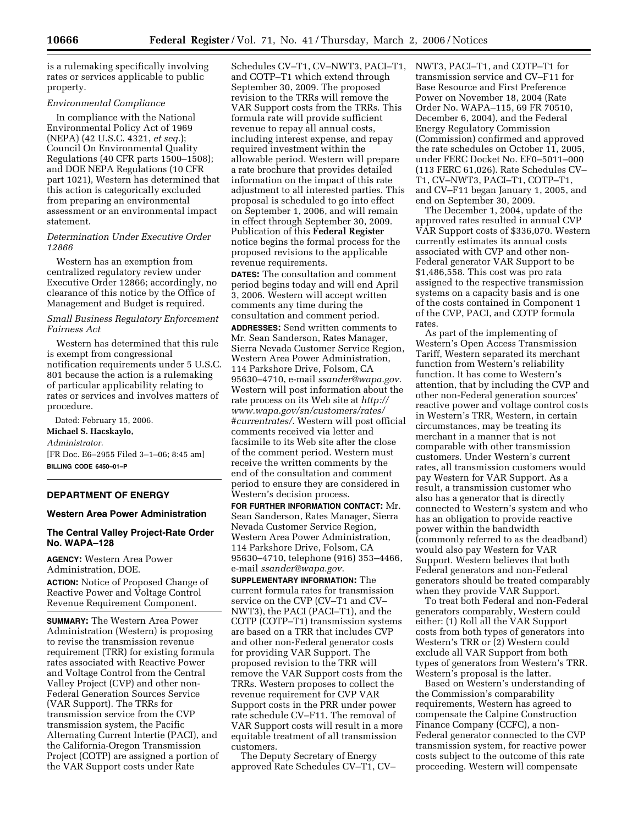is a rulemaking specifically involving rates or services applicable to public property.

#### *Environmental Compliance*

In compliance with the National Environmental Policy Act of 1969 (NEPA) (42 U.S.C. 4321, *et seq.*); Council On Environmental Quality Regulations (40 CFR parts 1500–1508); and DOE NEPA Regulations (10 CFR part 1021), Western has determined that this action is categorically excluded from preparing an environmental assessment or an environmental impact statement.

## *Determination Under Executive Order 12866*

Western has an exemption from centralized regulatory review under Executive Order 12866; accordingly, no clearance of this notice by the Office of Management and Budget is required.

*Small Business Regulatory Enforcement Fairness Act* 

Western has determined that this rule is exempt from congressional notification requirements under 5 U.S.C. 801 because the action is a rulemaking of particular applicability relating to rates or services and involves matters of procedure.

Dated: February 15, 2006. **Michael S. Hacskaylo,**  *Administrator.*  [FR Doc. E6–2955 Filed 3–1–06; 8:45 am]

**BILLING CODE 6450–01–P** 

# **DEPARTMENT OF ENERGY**

# **Western Area Power Administration**

# **The Central Valley Project-Rate Order No. WAPA–128**

**AGENCY:** Western Area Power Administration, DOE.

**ACTION:** Notice of Proposed Change of Reactive Power and Voltage Control Revenue Requirement Component.

**SUMMARY:** The Western Area Power Administration (Western) is proposing to revise the transmission revenue requirement (TRR) for existing formula rates associated with Reactive Power and Voltage Control from the Central Valley Project (CVP) and other non-Federal Generation Sources Service (VAR Support). The TRRs for transmission service from the CVP transmission system, the Pacific Alternating Current Intertie (PACI), and the California-Oregon Transmission Project (COTP) are assigned a portion of the VAR Support costs under Rate

Schedules CV–T1, CV–NWT3, PACI–T1, and COTP–T1 which extend through September 30, 2009. The proposed revision to the TRRs will remove the VAR Support costs from the TRRs. This formula rate will provide sufficient revenue to repay all annual costs, including interest expense, and repay required investment within the allowable period. Western will prepare a rate brochure that provides detailed information on the impact of this rate adjustment to all interested parties. This proposal is scheduled to go into effect on September 1, 2006, and will remain in effect through September 30, 2009. Publication of this **Federal Register**  notice begins the formal process for the proposed revisions to the applicable revenue requirements.

**DATES:** The consultation and comment period begins today and will end April 3, 2006. Western will accept written comments any time during the consultation and comment period.

**ADDRESSES:** Send written comments to Mr. Sean Sanderson, Rates Manager, Sierra Nevada Customer Service Region, Western Area Power Administration, 114 Parkshore Drive, Folsom, CA 95630–4710, e-mail *ssander@wapa.gov*. Western will post information about the rate process on its Web site at *http:// www.wapa.gov/sn/customers/rates/ #currentrates/*. Western will post official comments received via letter and facsimile to its Web site after the close of the comment period. Western must receive the written comments by the end of the consultation and comment period to ensure they are considered in Western's decision process.

**FOR FURTHER INFORMATION CONTACT:** Mr. Sean Sanderson, Rates Manager, Sierra Nevada Customer Service Region, Western Area Power Administration, 114 Parkshore Drive, Folsom, CA 95630–4710, telephone (916) 353–4466, e-mail *ssander@wapa.gov*.

**SUPPLEMENTARY INFORMATION:** The current formula rates for transmission service on the CVP (CV–T1 and CV– NWT3), the PACI (PACI–T1), and the COTP (COTP–T1) transmission systems are based on a TRR that includes CVP and other non-Federal generator costs for providing VAR Support. The proposed revision to the TRR will remove the VAR Support costs from the TRRs. Western proposes to collect the revenue requirement for CVP VAR Support costs in the PRR under power rate schedule CV–F11. The removal of VAR Support costs will result in a more equitable treatment of all transmission customers.

The Deputy Secretary of Energy approved Rate Schedules CV–T1, CV– NWT3, PACI–T1, and COTP–T1 for transmission service and CV–F11 for Base Resource and First Preference Power on November 18, 2004 (Rate Order No. WAPA–115, 69 FR 70510, December 6, 2004), and the Federal Energy Regulatory Commission (Commission) confirmed and approved the rate schedules on October 11, 2005, under FERC Docket No. EF0–5011–000 (113 FERC 61,026). Rate Schedules CV– T1, CV–NWT3, PACI–T1, COTP–T1, and CV–F11 began January 1, 2005, and end on September 30, 2009.

The December 1, 2004, update of the approved rates resulted in annual CVP VAR Support costs of \$336,070. Western currently estimates its annual costs associated with CVP and other non-Federal generator VAR Support to be \$1,486,558. This cost was pro rata assigned to the respective transmission systems on a capacity basis and is one of the costs contained in Component 1 of the CVP, PACI, and COTP formula rates.

As part of the implementing of Western's Open Access Transmission Tariff, Western separated its merchant function from Western's reliability function. It has come to Western's attention, that by including the CVP and other non-Federal generation sources' reactive power and voltage control costs in Western's TRR, Western, in certain circumstances, may be treating its merchant in a manner that is not comparable with other transmission customers. Under Western's current rates, all transmission customers would pay Western for VAR Support. As a result, a transmission customer who also has a generator that is directly connected to Western's system and who has an obligation to provide reactive power within the bandwidth (commonly referred to as the deadband) would also pay Western for VAR Support. Western believes that both Federal generators and non-Federal generators should be treated comparably when they provide VAR Support.

To treat both Federal and non-Federal generators comparably, Western could either: (1) Roll all the VAR Support costs from both types of generators into Western's TRR or (2) Western could exclude all VAR Support from both types of generators from Western's TRR. Western's proposal is the latter.

Based on Western's understanding of the Commission's comparability requirements, Western has agreed to compensate the Calpine Construction Finance Company (CCFC), a non-Federal generator connected to the CVP transmission system, for reactive power costs subject to the outcome of this rate proceeding. Western will compensate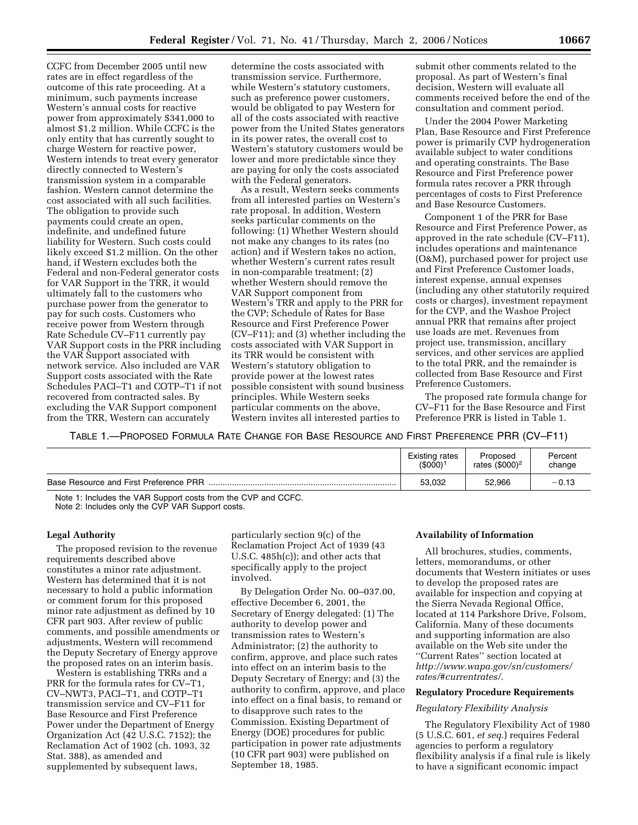CCFC from December 2005 until new rates are in effect regardless of the outcome of this rate proceeding. At a minimum, such payments increase Western's annual costs for reactive power from approximately \$341,000 to almost \$1.2 million. While CCFC is the only entity that has currently sought to charge Western for reactive power, Western intends to treat every generator directly connected to Western's transmission system in a comparable fashion. Western cannot determine the cost associated with all such facilities. The obligation to provide such payments could create an open, indefinite, and undefined future liability for Western. Such costs could likely exceed \$1.2 million. On the other hand, if Western excludes both the Federal and non-Federal generator costs for VAR Support in the TRR, it would ultimately fall to the customers who purchase power from the generator to pay for such costs. Customers who receive power from Western through Rate Schedule CV–F11 currently pay VAR Support costs in the PRR including the VAR Support associated with network service. Also included are VAR Support costs associated with the Rate Schedules PACI–T1 and COTP–T1 if not recovered from contracted sales. By excluding the VAR Support component from the TRR, Western can accurately

determine the costs associated with transmission service. Furthermore, while Western's statutory customers, such as preference power customers, would be obligated to pay Western for all of the costs associated with reactive power from the United States generators in its power rates, the overall cost to Western's statutory customers would be lower and more predictable since they are paying for only the costs associated with the Federal generators.

As a result, Western seeks comments from all interested parties on Western's rate proposal. In addition, Western seeks particular comments on the following: (1) Whether Western should not make any changes to its rates (no action) and if Western takes no action, whether Western's current rates result in non-comparable treatment; (2) whether Western should remove the VAR Support component from Western's TRR and apply to the PRR for the CVP; Schedule of Rates for Base Resource and First Preference Power (CV–F11); and (3) whether including the costs associated with VAR Support in its TRR would be consistent with Western's statutory obligation to provide power at the lowest rates possible consistent with sound business principles. While Western seeks particular comments on the above, Western invites all interested parties to

submit other comments related to the proposal. As part of Western's final decision, Western will evaluate all comments received before the end of the consultation and comment period.

Under the 2004 Power Marketing Plan, Base Resource and First Preference power is primarily CVP hydrogeneration available subject to water conditions and operating constraints. The Base Resource and First Preference power formula rates recover a PRR through percentages of costs to First Preference and Base Resource Customers.

Component 1 of the PRR for Base Resource and First Preference Power, as approved in the rate schedule (CV–F11), includes operations and maintenance (O&M), purchased power for project use and First Preference Customer loads, interest expense, annual expenses (including any other statutorily required costs or charges), investment repayment for the CVP, and the Washoe Project annual PRR that remains after project use loads are met. Revenues from project use, transmission, ancillary services, and other services are applied to the total PRR, and the remainder is collected from Base Resource and First Preference Customers.

The proposed rate formula change for CV–F11 for the Base Resource and First Preference PRR is listed in Table 1.

TABLE 1.—PROPOSED FORMULA RATE CHANGE FOR BASE RESOURCE AND FIRST PREFERENCE PRR (CV–F11)

|                                        | Existing rates       | Proposed                   | Percent |
|----------------------------------------|----------------------|----------------------------|---------|
|                                        | (\$000) <sup>1</sup> | rates (\$000) <sup>2</sup> | change  |
| Base Resource and First Preference PRR | 53,032               | 52,966                     | $-0.13$ |

Note 1: Includes the VAR Support costs from the CVP and CCFC. Note 2: Includes only the CVP VAR Support costs.

#### **Legal Authority**

The proposed revision to the revenue requirements described above constitutes a minor rate adjustment. Western has determined that it is not necessary to hold a public information or comment forum for this proposed minor rate adjustment as defined by 10 CFR part 903. After review of public comments, and possible amendments or adjustments, Western will recommend the Deputy Secretary of Energy approve the proposed rates on an interim basis.

Western is establishing TRRs and a PRR for the formula rates for CV–T1, CV–NWT3, PACI–T1, and COTP–T1 transmission service and CV–F11 for Base Resource and First Preference Power under the Department of Energy Organization Act (42 U.S.C. 7152); the Reclamation Act of 1902 (ch. 1093, 32 Stat. 388), as amended and supplemented by subsequent laws,

particularly section 9(c) of the Reclamation Project Act of 1939 (43 U.S.C. 485h(c)); and other acts that specifically apply to the project involved.

By Delegation Order No. 00–037.00, effective December 6, 2001, the Secretary of Energy delegated: (1) The authority to develop power and transmission rates to Western's Administrator; (2) the authority to confirm, approve, and place such rates into effect on an interim basis to the Deputy Secretary of Energy; and (3) the authority to confirm, approve, and place into effect on a final basis, to remand or to disapprove such rates to the Commission. Existing Department of Energy (DOE) procedures for public participation in power rate adjustments (10 CFR part 903) were published on September 18, 1985.

#### **Availability of Information**

All brochures, studies, comments, letters, memorandums, or other documents that Western initiates or uses to develop the proposed rates are available for inspection and copying at the Sierra Nevada Regional Office, located at 114 Parkshore Drive, Folsom, California. Many of these documents and supporting information are also available on the Web site under the ''Current Rates'' section located at *http://www.wapa.gov/sn/customers/ rates/#currentrates/*.

## **Regulatory Procedure Requirements**

#### *Regulatory Flexibility Analysis*

The Regulatory Flexibility Act of 1980 (5 U.S.C. 601, *et seq.*) requires Federal agencies to perform a regulatory flexibility analysis if a final rule is likely to have a significant economic impact